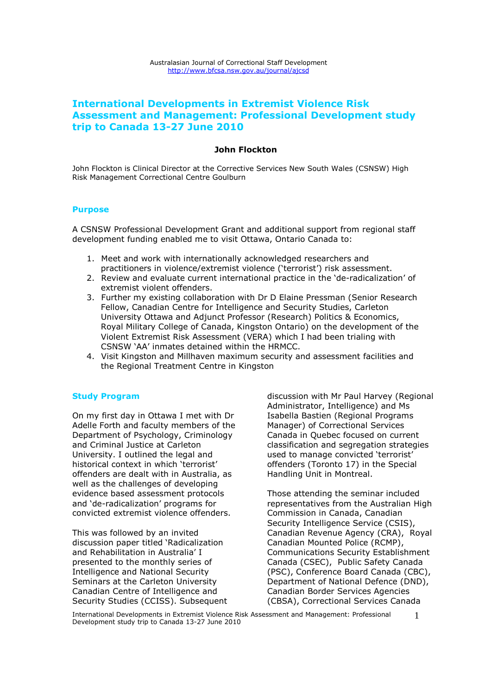# **International Developments in Extremist Violence Risk Assessment and Management: Professional Development study trip to Canada 13-27 June 2010**

### **John Flockton**

John Flockton is Clinical Director at the Corrective Services New South Wales (CSNSW) High Risk Management Correctional Centre Goulburn

### **Purpose**

A CSNSW Professional Development Grant and additional support from regional staff development funding enabled me to visit Ottawa, Ontario Canada to:

- 1. Meet and work with internationally acknowledged researchers and practitioners in violence/extremist violence ('terrorist') risk assessment.
- 2. Review and evaluate current international practice in the 'de-radicalization' of extremist violent offenders.
- 3. Further my existing collaboration with Dr D Elaine Pressman (Senior Research Fellow, Canadian Centre for Intelligence and Security Studies, Carleton University Ottawa and Adjunct Professor (Research) Politics & Economics, Royal Military College of Canada, Kingston Ontario) on the development of the Violent Extremist Risk Assessment (VERA) which I had been trialing with CSNSW 'AA' inmates detained within the HRMCC.
- 4. Visit Kingston and Millhaven maximum security and assessment facilities and the Regional Treatment Centre in Kingston

## **Study Program**

On my first day in Ottawa I met with Dr Adelle Forth and faculty members of the Department of Psychology, Criminology and Criminal Justice at Carleton University. I outlined the legal and historical context in which 'terrorist' offenders are dealt with in Australia, as well as the challenges of developing evidence based assessment protocols and 'de-radicalization' programs for convicted extremist violence offenders.

This was followed by an invited discussion paper titled 'Radicalization and Rehabilitation in Australia' I presented to the monthly series of Intelligence and National Security Seminars at the Carleton University Canadian Centre of Intelligence and Security Studies (CCISS). Subsequent discussion with Mr Paul Harvey (Regional Administrator, Intelligence) and Ms Isabella Bastien (Regional Programs Manager) of Correctional Services Canada in Quebec focused on current classification and segregation strategies used to manage convicted 'terrorist' offenders (Toronto 17) in the Special Handling Unit in Montreal.

Those attending the seminar included representatives from the Australian High Commission in Canada, Canadian Security Intelligence Service (CSIS), Canadian Revenue Agency (CRA), Royal Canadian Mounted Police (RCMP), Communications Security Establishment Canada (CSEC), Public Safety Canada (PSC), Conference Board Canada (CBC), Department of National Defence (DND), Canadian Border Services Agencies (CBSA), Correctional Services Canada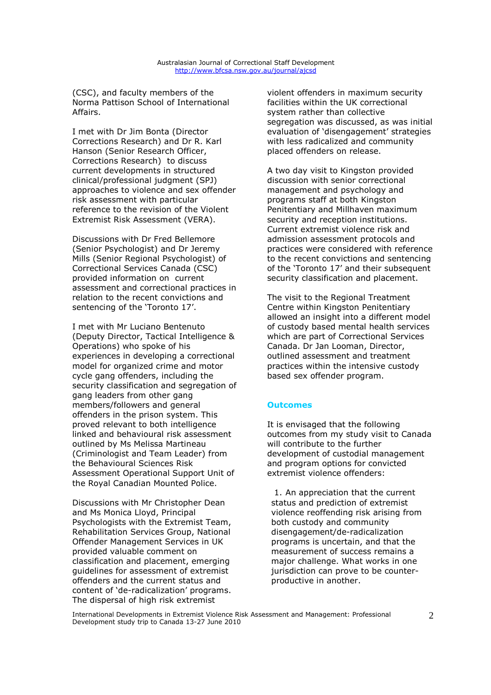(CSC), and faculty members of the Norma Pattison School of International Affairs.

I met with Dr Jim Bonta (Director Corrections Research) and Dr R. Karl Hanson (Senior Research Officer, Corrections Research) to discuss current developments in structured clinical/professional judgment (SPJ) approaches to violence and sex offender risk assessment with particular reference to the revision of the Violent Extremist Risk Assessment (VERA).

Discussions with Dr Fred Bellemore (Senior Psychologist) and Dr Jeremy Mills (Senior Regional Psychologist) of Correctional Services Canada (CSC) provided information on current assessment and correctional practices in relation to the recent convictions and sentencing of the 'Toronto 17'.

I met with Mr Luciano Bentenuto (Deputy Director, Tactical Intelligence & Operations) who spoke of his experiences in developing a correctional model for organized crime and motor cycle gang offenders, including the security classification and segregation of gang leaders from other gang members/followers and general offenders in the prison system. This proved relevant to both intelligence linked and behavioural risk assessment outlined by Ms Melissa Martineau (Criminologist and Team Leader) from the Behavioural Sciences Risk Assessment Operational Support Unit of the Royal Canadian Mounted Police.

Discussions with Mr Christopher Dean and Ms Monica Lloyd, Principal Psychologists with the Extremist Team, Rehabilitation Services Group, National Offender Management Services in UK provided valuable comment on classification and placement, emerging guidelines for assessment of extremist offenders and the current status and content of 'de-radicalization' programs. The dispersal of high risk extremist

violent offenders in maximum security facilities within the UK correctional system rather than collective segregation was discussed, as was initial evaluation of 'disengagement' strategies with less radicalized and community placed offenders on release.

A two day visit to Kingston provided discussion with senior correctional management and psychology and programs staff at both Kingston Penitentiary and Millhaven maximum security and reception institutions. Current extremist violence risk and admission assessment protocols and practices were considered with reference to the recent convictions and sentencing of the 'Toronto 17' and their subsequent security classification and placement.

The visit to the Regional Treatment Centre within Kingston Penitentiary allowed an insight into a different model of custody based mental health services which are part of Correctional Services Canada. Dr Jan Looman, Director, outlined assessment and treatment practices within the intensive custody based sex offender program.

#### **Outcomes**

It is envisaged that the following outcomes from my study visit to Canada will contribute to the further development of custodial management and program options for convicted extremist violence offenders:

1. An appreciation that the current status and prediction of extremist violence reoffending risk arising from both custody and community disengagement/de-radicalization programs is uncertain, and that the measurement of success remains a major challenge. What works in one jurisdiction can prove to be counterproductive in another.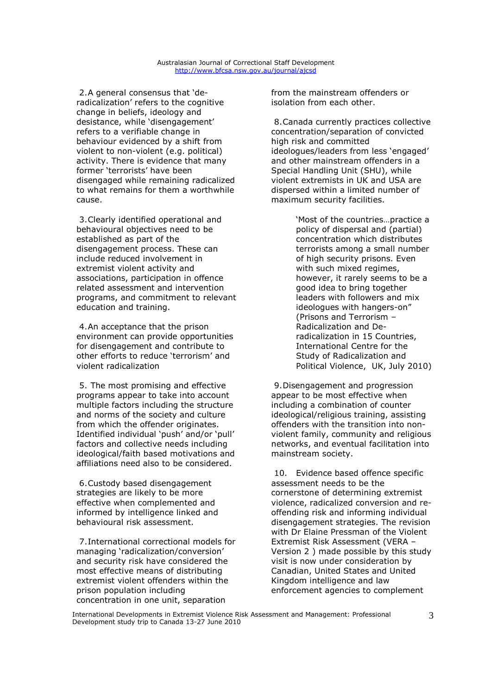#### Australasian Journal of Correctional Staff Development http://www.bfcsa.nsw.gov.au/journal/ajcsd

2.A general consensus that 'deradicalization' refers to the cognitive change in beliefs, ideology and desistance, while 'disengagement' refers to a verifiable change in behaviour evidenced by a shift from violent to non-violent (e.g. political) activity. There is evidence that many former 'terrorists' have been disengaged while remaining radicalized to what remains for them a worthwhile cause.

3.Clearly identified operational and behavioural objectives need to be established as part of the disengagement process. These can include reduced involvement in extremist violent activity and associations, participation in offence related assessment and intervention programs, and commitment to relevant education and training.

4.An acceptance that the prison environment can provide opportunities for disengagement and contribute to other efforts to reduce 'terrorism' and violent radicalization

5. The most promising and effective programs appear to take into account multiple factors including the structure and norms of the society and culture from which the offender originates. Identified individual 'push' and/or 'pull' factors and collective needs including ideological/faith based motivations and affiliations need also to be considered.

6.Custody based disengagement strategies are likely to be more effective when complemented and informed by intelligence linked and behavioural risk assessment.

7.International correctional models for managing 'radicalization/conversion' and security risk have considered the most effective means of distributing extremist violent offenders within the prison population including concentration in one unit, separation

from the mainstream offenders or isolation from each other.

8.Canada currently practices collective concentration/separation of convicted high risk and committed ideologues/leaders from less 'engaged' and other mainstream offenders in a Special Handling Unit (SHU), while violent extremists in UK and USA are dispersed within a limited number of maximum security facilities.

> 'Most of the countries…practice a policy of dispersal and (partial) concentration which distributes terrorists among a small number of high security prisons. Even with such mixed regimes, however, it rarely seems to be a good idea to bring together leaders with followers and mix ideologues with hangers-on" (Prisons and Terrorism – Radicalization and Deradicalization in 15 Countries, International Centre for the Study of Radicalization and Political Violence, UK, July 2010)

9.Disengagement and progression appear to be most effective when including a combination of counter ideological/religious training, assisting offenders with the transition into nonviolent family, community and religious networks, and eventual facilitation into mainstream society.

10. Evidence based offence specific assessment needs to be the cornerstone of determining extremist violence, radicalized conversion and reoffending risk and informing individual disengagement strategies. The revision with Dr Elaine Pressman of the Violent Extremist Risk Assessment (VERA – Version 2 ) made possible by this study visit is now under consideration by Canadian, United States and United Kingdom intelligence and law enforcement agencies to complement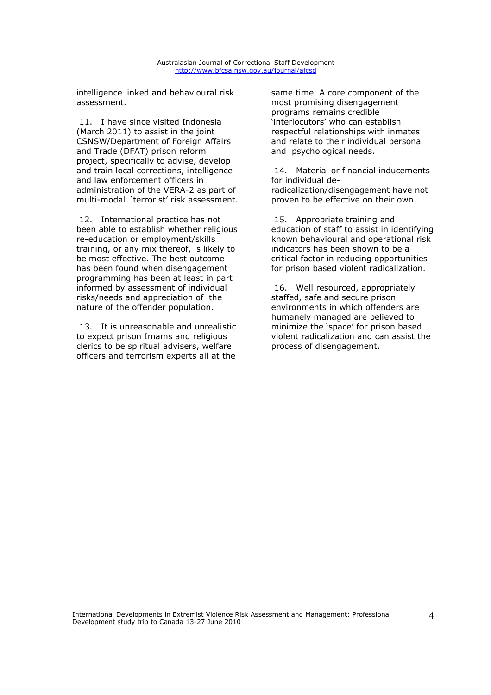intelligence linked and behavioural risk assessment.

11. I have since visited Indonesia (March 2011) to assist in the joint CSNSW/Department of Foreign Affairs and Trade (DFAT) prison reform project, specifically to advise, develop and train local corrections, intelligence and law enforcement officers in administration of the VERA-2 as part of multi-modal 'terrorist' risk assessment.

12. International practice has not been able to establish whether religious re-education or employment/skills training, or any mix thereof, is likely to be most effective. The best outcome has been found when disengagement programming has been at least in part informed by assessment of individual risks/needs and appreciation of the nature of the offender population.

13. It is unreasonable and unrealistic to expect prison Imams and religious clerics to be spiritual advisers, welfare officers and terrorism experts all at the

same time. A core component of the most promising disengagement programs remains credible 'interlocutors' who can establish respectful relationships with inmates and relate to their individual personal and psychological needs.

14. Material or financial inducements for individual deradicalization/disengagement have not proven to be effective on their own.

15. Appropriate training and education of staff to assist in identifying known behavioural and operational risk indicators has been shown to be a critical factor in reducing opportunities for prison based violent radicalization.

16. Well resourced, appropriately staffed, safe and secure prison environments in which offenders are humanely managed are believed to minimize the 'space' for prison based violent radicalization and can assist the process of disengagement.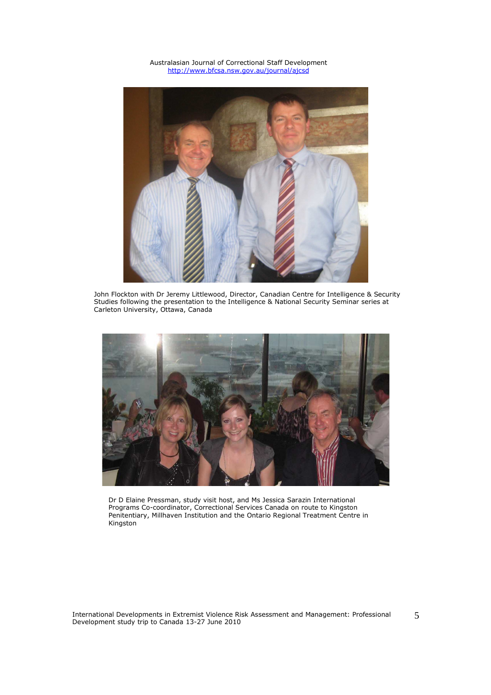Australasian Journal of Correctional Staff Development http://www.bfcsa.nsw.gov.au/journal/ajcsd



John Flockton with Dr Jeremy Littlewood, Director, Canadian Centre for Intelligence & Security Studies following the presentation to the Intelligence & National Security Seminar series at Carleton University, Ottawa, Canada



Dr D Elaine Pressman, study visit host, and Ms Jessica Sarazin International Programs Co-coordinator, Correctional Services Canada on route to Kingston Penitentiary, Millhaven Institution and the Ontario Regional Treatment Centre in Kingston